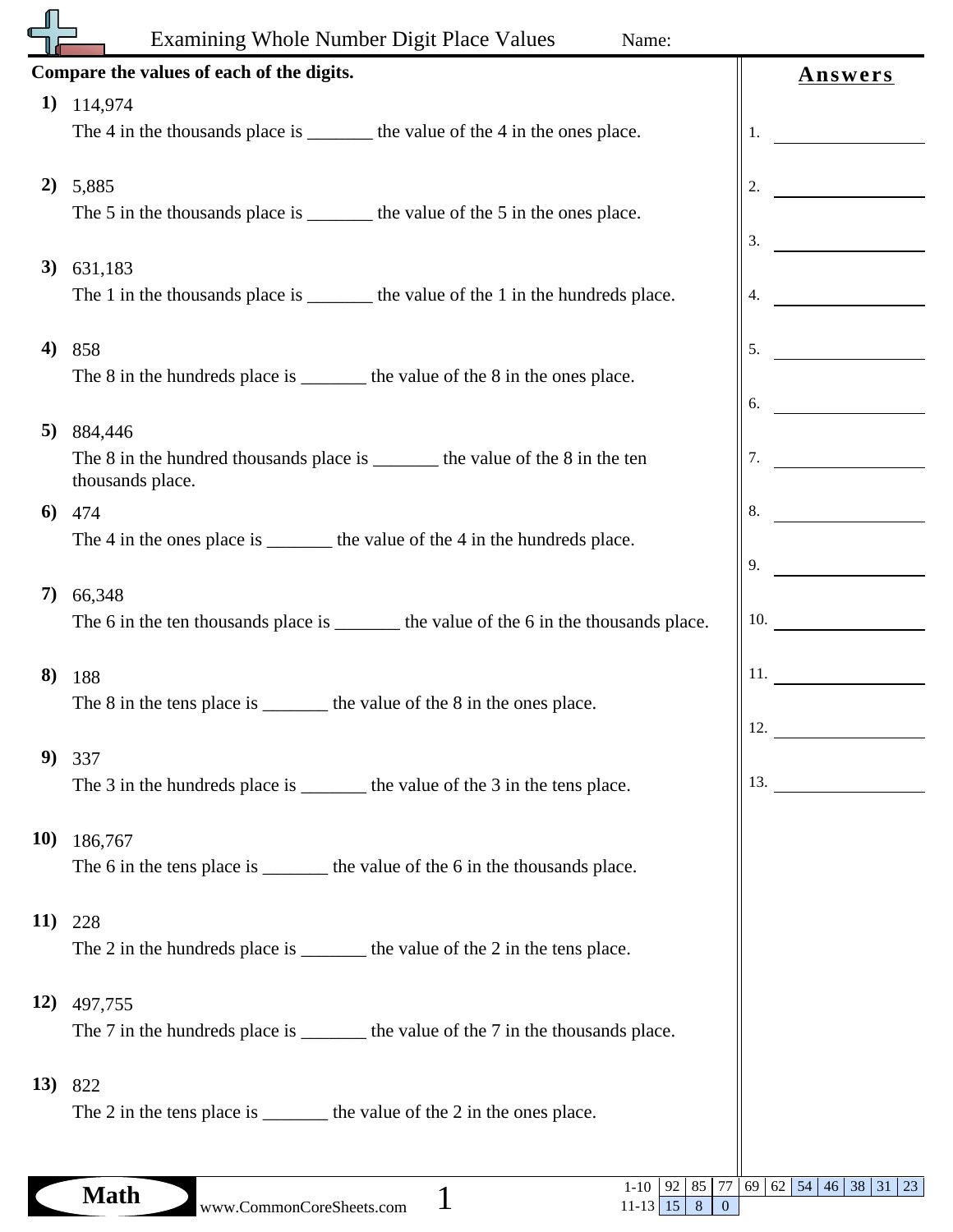|             | Examining Whole Number Digit Place Values<br>Name:                                       |                                                         |
|-------------|------------------------------------------------------------------------------------------|---------------------------------------------------------|
|             | Compare the values of each of the digits.                                                | <b>Answers</b>                                          |
| 1)          | 114,974                                                                                  |                                                         |
|             | The 4 in the thousands place is _________ the value of the 4 in the ones place.          | 1.                                                      |
|             |                                                                                          |                                                         |
| 2)          | 5,885<br>The 5 in the thousands place is _________ the value of the 5 in the ones place. | 2.                                                      |
|             |                                                                                          | 3.                                                      |
| 3)          | 631,183                                                                                  |                                                         |
|             | The 1 in the thousands place is _________ the value of the 1 in the hundreds place.      | 4.                                                      |
|             |                                                                                          |                                                         |
| 4)          | 858<br>The 8 in the hundreds place is _________ the value of the 8 in the ones place.    | 5.                                                      |
|             |                                                                                          | 6.                                                      |
| 5)          | 884,446                                                                                  |                                                         |
|             | The 8 in the hundred thousands place is _________ the value of the 8 in the ten          | 7.                                                      |
|             | thousands place.                                                                         |                                                         |
| 6           | 474                                                                                      | 8.                                                      |
|             | The 4 in the ones place is ________ the value of the 4 in the hundreds place.            | 9.                                                      |
| 7)          | 66,348                                                                                   |                                                         |
|             | The 6 in the ten thousands place is ________ the value of the 6 in the thousands place.  | 10.                                                     |
|             |                                                                                          |                                                         |
| 8)          | 188                                                                                      | 11.                                                     |
|             | The 8 in the tens place is _________ the value of the 8 in the ones place.               | 12.                                                     |
| 9)          | 337                                                                                      |                                                         |
|             | The 3 in the hundreds place is _________ the value of the 3 in the tens place.           | 13.                                                     |
|             |                                                                                          |                                                         |
| <b>10)</b>  | 186,767                                                                                  |                                                         |
|             | The 6 in the tens place is ________ the value of the 6 in the thousands place.           |                                                         |
| 11)         | 228                                                                                      |                                                         |
|             | The 2 in the hundreds place is _________ the value of the 2 in the tens place.           |                                                         |
|             |                                                                                          |                                                         |
| <b>12</b> ) | 497,755                                                                                  |                                                         |
|             | The 7 in the hundreds place is _________ the value of the 7 in the thousands place.      |                                                         |
|             | 13) 822                                                                                  |                                                         |
|             | The 2 in the tens place is _________ the value of the 2 in the ones place.               |                                                         |
|             |                                                                                          |                                                         |
|             | $M_0H$                                                                                   | 1-10   92   85   77   69   62   54   46   38   31<br>23 |

 $11-13$  15 8 0